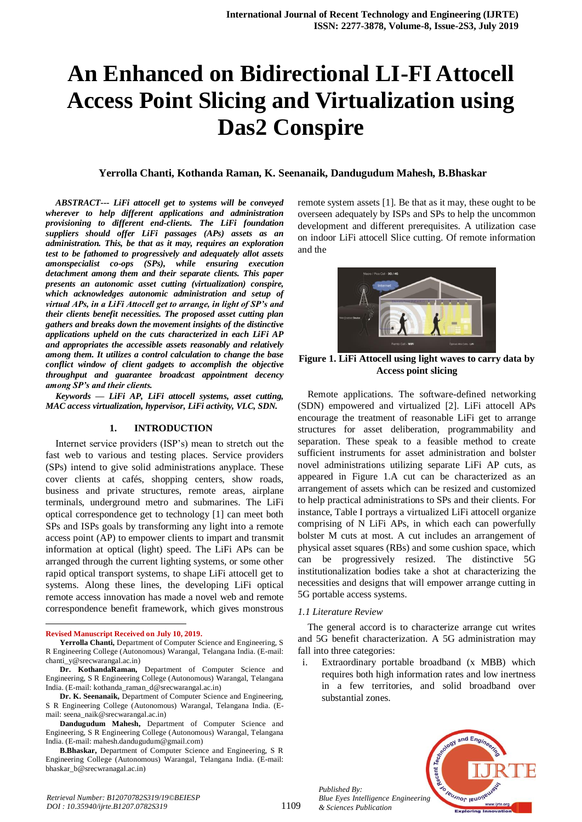# **An Enhanced on Bidirectional LI-FI Attocell Access Point Slicing and Virtualization using Das2 Conspire**

#### **Yerrolla Chanti, Kothanda Raman, K. Seenanaik, Dandugudum Mahesh, B.Bhaskar**

*ABSTRACT--- LiFi attocell get to systems will be conveyed wherever to help different applications and administration provisioning to different end-clients. The LiFi foundation suppliers should offer LiFi passages (APs) assets as an administration. This, be that as it may, requires an exploration test to be fathomed to progressively and adequately allot assets amonspecialist co-ops (SPs), while ensuring execution detachment among them and their separate clients. This paper presents an autonomic asset cutting (virtualization) conspire, which acknowledges autonomic administration and setup of virtual APs, in a LiFi Attocell get to arrange, in light of SP's and their clients benefit necessities. The proposed asset cutting plan gathers and breaks down the movement insights of the distinctive applications upheld on the cuts characterized in each LiFi AP and appropriates the accessible assets reasonably and relatively among them. It utilizes a control calculation to change the base conflict window of client gadgets to accomplish the objective throughput and guarantee broadcast appointment decency among SP's and their clients.*

*Keywords — LiFi AP, LiFi attocell systems, asset cutting, MAC access virtualization, hypervisor, LiFi activity, VLC, SDN.*

#### **1. INTRODUCTION**

Internet service providers (ISP's) mean to stretch out the fast web to various and testing places. Service providers (SPs) intend to give solid administrations anyplace. These cover clients at cafés, shopping centers, show roads, business and private structures, remote areas, airplane terminals, underground metro and submarines. The LiFi optical correspondence get to technology [1] can meet both SPs and ISPs goals by transforming any light into a remote access point (AP) to empower clients to impart and transmit information at optical (light) speed. The LiFi APs can be arranged through the current lighting systems, or some other rapid optical transport systems, to shape LiFi attocell get to systems. Along these lines, the developing LiFi optical remote access innovation has made a novel web and remote correspondence benefit framework, which gives monstrous

 $\overline{a}$ 

**B.Bhaskar,** Department of Computer Science and Engineering, S R Engineering College (Autonomous) Warangal, Telangana India. (E-mail: bhaskar\_b@srecwranagal.ac.in)

remote system assets [1]. Be that as it may, these ought to be overseen adequately by ISPs and SPs to help the uncommon development and different prerequisites. A utilization case on indoor LiFi attocell Slice cutting. Of remote information and the



**Figure 1. LiFi Attocell using light waves to carry data by Access point slicing**

Remote applications. The software-defined networking (SDN) empowered and virtualized [2]. LiFi attocell APs encourage the treatment of reasonable LiFi get to arrange structures for asset deliberation, programmability and separation. These speak to a feasible method to create sufficient instruments for asset administration and bolster novel administrations utilizing separate LiFi AP cuts, as appeared in Figure 1.A cut can be characterized as an arrangement of assets which can be resized and customized to help practical administrations to SPs and their clients. For instance, Table I portrays a virtualized LiFi attocell organize comprising of N LiFi APs, in which each can powerfully bolster M cuts at most. A cut includes an arrangement of physical asset squares (RBs) and some cushion space, which can be progressively resized. The distinctive 5G institutionalization bodies take a shot at characterizing the necessities and designs that will empower arrange cutting in 5G portable access systems.

#### *1.1 Literature Review*

The general accord is to characterize arrange cut writes and 5G benefit characterization. A 5G administration may fall into three categories:

Extraordinary portable broadband (x MBB) which requires both high information rates and low inertness in a few territories, and solid broadband over substantial zones.



*Published By: Blue Eyes Intelligence Engineering & Sciences Publication* 

1109

**Revised Manuscript Received on July 10, 2019.**

**Yerrolla Chanti,** Department of Computer Science and Engineering, S R Engineering College (Autonomous) Warangal, Telangana India. (E-mail: chanti\_v@srecwarangal.ac.in)

**Dr. KothandaRaman,** Department of Computer Science and Engineering, S R Engineering College (Autonomous) Warangal, Telangana India. (E-mail: kothanda\_raman\_d@srecwarangal.ac.in)

**Dr. K. Seenanaik,** Department of Computer Science and Engineering, S R Engineering College (Autonomous) Warangal, Telangana India. (Email: seena\_naik@srecwarangal.ac.in)

**Dandugudum Mahesh,** Department of Computer Science and Engineering, S R Engineering College (Autonomous) Warangal, Telangana India. (E-mail: mahesh.dandugudum@gmail.com)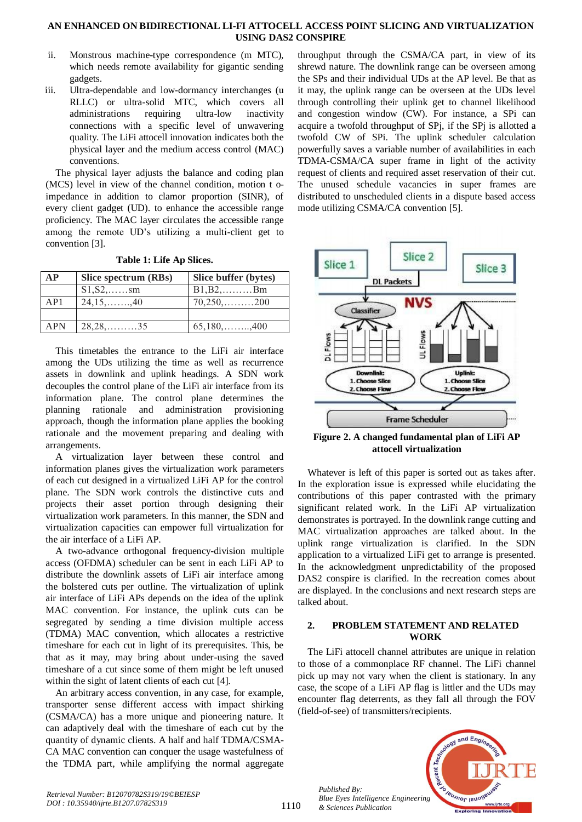- ii. Monstrous machine-type correspondence (m MTC), which needs remote availability for gigantic sending gadgets.
- iii. Ultra-dependable and low-dormancy interchanges (u RLLC) or ultra-solid MTC, which covers all administrations requiring ultra-low inactivity connections with a specific level of unwavering quality. The LiFi attocell innovation indicates both the physical layer and the medium access control (MAC) conventions.

The physical layer adjusts the balance and coding plan (MCS) level in view of the channel condition, motion t oimpedance in addition to clamor proportion (SINR), of every client gadget (UD). to enhance the accessible range proficiency. The MAC layer circulates the accessible range among the remote UD's utilizing a multi-client get to convention [3].

| AP  | Slice spectrum (RBs) | Slice buffer (bytes) |  |
|-----|----------------------|----------------------|--|
|     | $S1, S2, \ldots$ sm  | $B1,B2,\ldots Bm$    |  |
| AP1 | $24,15,\ldots,40$    |                      |  |
|     |                      |                      |  |
| APN | $28, 28, \ldots, 35$ | $65,180,\ldots$ 400  |  |

**Table 1: Life Ap Slices.**

This timetables the entrance to the LiFi air interface among the UDs utilizing the time as well as recurrence assets in downlink and uplink headings. A SDN work decouples the control plane of the LiFi air interface from its information plane. The control plane determines the planning rationale and administration provisioning approach, though the information plane applies the booking rationale and the movement preparing and dealing with arrangements.

A virtualization layer between these control and information planes gives the virtualization work parameters of each cut designed in a virtualized LiFi AP for the control plane. The SDN work controls the distinctive cuts and projects their asset portion through designing their virtualization work parameters. In this manner, the SDN and virtualization capacities can empower full virtualization for the air interface of a LiFi AP.

A two-advance orthogonal frequency-division multiple access (OFDMA) scheduler can be sent in each LiFi AP to distribute the downlink assets of LiFi air interface among the bolstered cuts per outline. The virtualization of uplink air interface of LiFi APs depends on the idea of the uplink MAC convention. For instance, the uplink cuts can be segregated by sending a time division multiple access (TDMA) MAC convention, which allocates a restrictive timeshare for each cut in light of its prerequisites. This, be that as it may, may bring about under-using the saved timeshare of a cut since some of them might be left unused within the sight of latent clients of each cut [4].

An arbitrary access convention, in any case, for example, transporter sense different access with impact shirking (CSMA/CA) has a more unique and pioneering nature. It can adaptively deal with the timeshare of each cut by the quantity of dynamic clients. A half and half TDMA/CSMA-CA MAC convention can conquer the usage wastefulness of the TDMA part, while amplifying the normal aggregate

throughput through the CSMA/CA part, in view of its shrewd nature. The downlink range can be overseen among the SPs and their individual UDs at the AP level. Be that as it may, the uplink range can be overseen at the UDs level through controlling their uplink get to channel likelihood and congestion window (CW). For instance, a SPi can acquire a twofold throughput of SPj, if the SPj is allotted a twofold CW of SPi. The uplink scheduler calculation powerfully saves a variable number of availabilities in each TDMA-CSMA/CA super frame in light of the activity request of clients and required asset reservation of their cut. The unused schedule vacancies in super frames are distributed to unscheduled clients in a dispute based access mode utilizing CSMA/CA convention [5].



**Figure 2. A changed fundamental plan of LiFi AP attocell virtualization**

Whatever is left of this paper is sorted out as takes after. In the exploration issue is expressed while elucidating the contributions of this paper contrasted with the primary significant related work. In the LiFi AP virtualization demonstrates is portrayed. In the downlink range cutting and MAC virtualization approaches are talked about. In the uplink range virtualization is clarified. In the SDN application to a virtualized LiFi get to arrange is presented. In the acknowledgment unpredictability of the proposed DAS2 conspire is clarified. In the recreation comes about are displayed. In the conclusions and next research steps are talked about.

# **2. PROBLEM STATEMENT AND RELATED WORK**

The LiFi attocell channel attributes are unique in relation to those of a commonplace RF channel. The LiFi channel pick up may not vary when the client is stationary. In any case, the scope of a LiFi AP flag is littler and the UDs may encounter flag deterrents, as they fall all through the FOV (field-of-see) of transmitters/recipients.



*Published By:*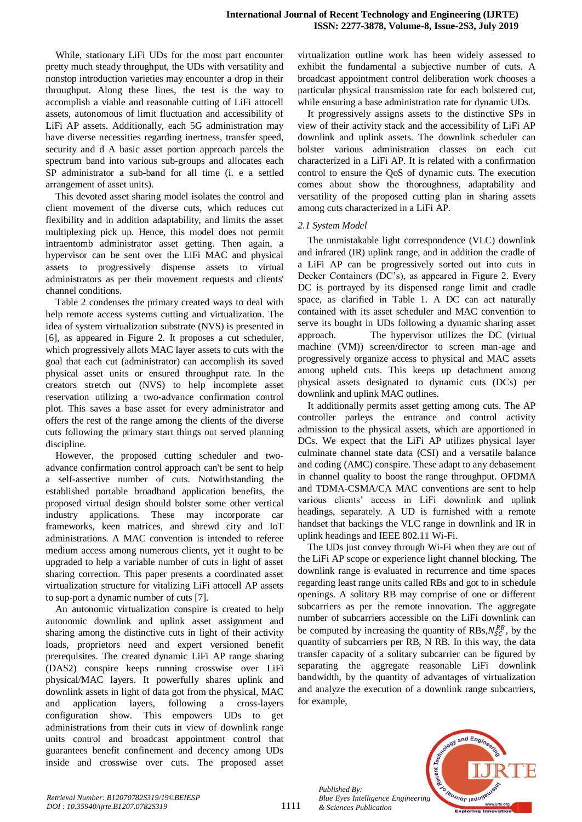While, stationary LiFi UDs for the most part encounter pretty much steady throughput, the UDs with versatility and nonstop introduction varieties may encounter a drop in their throughput. Along these lines, the test is the way to accomplish a viable and reasonable cutting of LiFi attocell assets, autonomous of limit fluctuation and accessibility of LiFi AP assets. Additionally, each 5G administration may have diverse necessities regarding inertness, transfer speed, security and d A basic asset portion approach parcels the spectrum band into various sub-groups and allocates each SP administrator a sub-band for all time (i. e a settled arrangement of asset units).

This devoted asset sharing model isolates the control and client movement of the diverse cuts, which reduces cut flexibility and in addition adaptability, and limits the asset multiplexing pick up. Hence, this model does not permit intraentomb administrator asset getting. Then again, a hypervisor can be sent over the LiFi MAC and physical assets to progressively dispense assets to virtual administrators as per their movement requests and clients' channel conditions.

Table 2 condenses the primary created ways to deal with help remote access systems cutting and virtualization. The idea of system virtualization substrate (NVS) is presented in [6], as appeared in Figure 2. It proposes a cut scheduler, which progressively allots MAC layer assets to cuts with the goal that each cut (administrator) can accomplish its saved physical asset units or ensured throughput rate. In the creators stretch out (NVS) to help incomplete asset reservation utilizing a two-advance confirmation control plot. This saves a base asset for every administrator and offers the rest of the range among the clients of the diverse cuts following the primary start things out served planning discipline.

However, the proposed cutting scheduler and twoadvance confirmation control approach can't be sent to help a self-assertive number of cuts. Notwithstanding the established portable broadband application benefits, the proposed virtual design should bolster some other vertical industry applications. These may incorporate car frameworks, keen matrices, and shrewd city and IoT administrations. A MAC convention is intended to referee medium access among numerous clients, yet it ought to be upgraded to help a variable number of cuts in light of asset sharing correction. This paper presents a coordinated asset virtualization structure for vitalizing LiFi attocell AP assets to sup-port a dynamic number of cuts [7].

An autonomic virtualization conspire is created to help autonomic downlink and uplink asset assignment and sharing among the distinctive cuts in light of their activity loads, proprietors need and expert versioned benefit prerequisites. The created dynamic LiFi AP range sharing (DAS2) conspire keeps running crosswise over LiFi physical/MAC layers. It powerfully shares uplink and downlink assets in light of data got from the physical, MAC and application layers, following a cross-layers configuration show. This empowers UDs to get administrations from their cuts in view of downlink range units control and broadcast appointment control that guarantees benefit confinement and decency among UDs inside and crosswise over cuts. The proposed asset

virtualization outline work has been widely assessed to exhibit the fundamental a subjective number of cuts. A broadcast appointment control deliberation work chooses a particular physical transmission rate for each bolstered cut, while ensuring a base administration rate for dynamic UDs.

It progressively assigns assets to the distinctive SPs in view of their activity stack and the accessibility of LiFi AP downlink and uplink assets. The downlink scheduler can bolster various administration classes on each cut characterized in a LiFi AP. It is related with a confirmation control to ensure the QoS of dynamic cuts. The execution comes about show the thoroughness, adaptability and versatility of the proposed cutting plan in sharing assets among cuts characterized in a LiFi AP.

# *2.1 System Model*

The unmistakable light correspondence (VLC) downlink and infrared (IR) uplink range, and in addition the cradle of a LiFi AP can be progressively sorted out into cuts in Decker Containers (DC's), as appeared in Figure 2. Every DC is portrayed by its dispensed range limit and cradle space, as clarified in Table 1. A DC can act naturally contained with its asset scheduler and MAC convention to serve its bought in UDs following a dynamic sharing asset approach. The hypervisor utilizes the DC (virtual machine (VM)) screen/director to screen man-age and progressively organize access to physical and MAC assets among upheld cuts. This keeps up detachment among physical assets designated to dynamic cuts (DCs) per downlink and uplink MAC outlines.

It additionally permits asset getting among cuts. The AP controller parleys the entrance and control activity admission to the physical assets, which are apportioned in DCs. We expect that the LiFi AP utilizes physical layer culminate channel state data (CSI) and a versatile balance and coding (AMC) conspire. These adapt to any debasement in channel quality to boost the range throughput. OFDMA and TDMA-CSMA/CA MAC conventions are sent to help various clients' access in LiFi downlink and uplink headings, separately. A UD is furnished with a remote handset that backings the VLC range in downlink and IR in uplink headings and IEEE 802.11 Wi-Fi.

The UDs just convey through Wi-Fi when they are out of the LiFi AP scope or experience light channel blocking. The downlink range is evaluated in recurrence and time spaces regarding least range units called RBs and got to in schedule openings. A solitary RB may comprise of one or different subcarriers as per the remote innovation. The aggregate number of subcarriers accessible on the LiFi downlink can be computed by increasing the quantity of RBs,  $N_{SC}^{RB}$ , by the quantity of subcarriers per RB, N RB. In this way, the data transfer capacity of a solitary subcarrier can be figured by separating the aggregate reasonable LiFi downlink bandwidth, by the quantity of advantages of virtualization and analyze the execution of a downlink range subcarriers, for example,



*Published By:*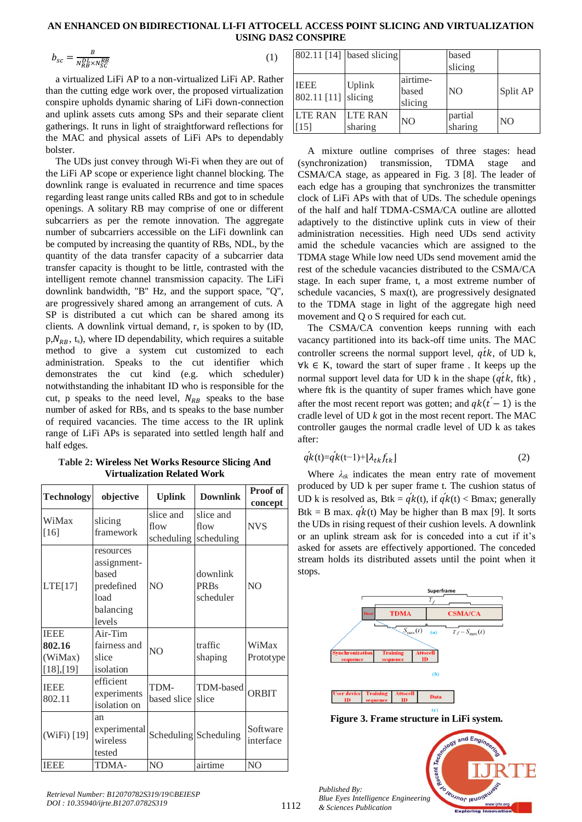$$
b_{sc} = \frac{B}{N_{RB}^{DL} \times N_{SC}^{RB}}
$$

 $\overline{RB}$  (1)

a virtualized LiFi AP to a non-virtualized LiFi AP. Rather than the cutting edge work over, the proposed virtualization conspire upholds dynamic sharing of LiFi down-connection and uplink assets cuts among SPs and their separate client gatherings. It runs in light of straightforward reflections for the MAC and physical assets of LiFi APs to dependably bolster.

The UDs just convey through Wi-Fi when they are out of the LiFi AP scope or experience light channel blocking. The downlink range is evaluated in recurrence and time spaces regarding least range units called RBs and got to in schedule openings. A solitary RB may comprise of one or different subcarriers as per the remote innovation. The aggregate number of subcarriers accessible on the LiFi downlink can be computed by increasing the quantity of RBs, NDL, by the quantity of the data transfer capacity of a subcarrier data transfer capacity is thought to be little, contrasted with the intelligent remote channel transmission capacity. The LiFi downlink bandwidth, "B" Hz, and the support space, "Q", are progressively shared among an arrangement of cuts. A SP is distributed a cut which can be shared among its clients. A downlink virtual demand, r, is spoken to by (ID,  $p, N_{RR}, t_s$ , where ID dependability, which requires a suitable method to give a system cut customized to each administration. Speaks to the cut identifier which demonstrates the cut kind (e.g. which scheduler) notwithstanding the inhabitant ID who is responsible for the cut, p speaks to the need level,  $N_{RB}$  speaks to the base number of asked for RBs, and ts speaks to the base number of required vacancies. The time access to the IR uplink range of LiFi APs is separated into settled length half and half edges.

**Table 2: Wireless Net Works Resource Slicing And Virtualization Related Work**

| <b>Technology</b>                             | objective                                                                      | <b>Uplink</b>                   | <b>Downlink</b>                      | Proof of              |
|-----------------------------------------------|--------------------------------------------------------------------------------|---------------------------------|--------------------------------------|-----------------------|
|                                               |                                                                                |                                 |                                      | concept               |
| WiMax<br>$[16]$                               | slicing<br>framework                                                           | slice and<br>flow<br>scheduling | slice and<br>flow<br>scheduling      | <b>NVS</b>            |
| LTE[17]                                       | resources<br>assignment-<br>based<br>predefined<br>load<br>balancing<br>levels | N <sub>O</sub>                  | downlink<br><b>PRBs</b><br>scheduler | N <sub>O</sub>        |
| <b>IEEE</b><br>802.16<br>(WiMax)<br>[18],[19] | Air-Tim<br>fairness and<br>slice<br>isolation                                  | N <sub>O</sub>                  | traffic<br>shaping                   | WiMax<br>Prototype    |
| <b>IEEE</b><br>802.11                         | efficient<br>experiments<br>isolation on                                       | TDM-<br>based slice             | TDM-based<br>slice                   | <b>ORBIT</b>          |
| (WiFi) [19]                                   | an<br>experimental<br>wireless<br>tested                                       |                                 | Scheduling Scheduling                | Software<br>interface |
| <b>IEEE</b>                                   | TDMA-                                                                          | NO                              | airtime                              | N <sub>O</sub>        |

|                            | $802.11$ [14] based slicing |                              | based<br>slicing   |                |
|----------------------------|-----------------------------|------------------------------|--------------------|----------------|
| <b>IEEE</b><br>802.11 [11] | Uplink<br>slicing           | airtime-<br>based<br>slicing | N <sub>O</sub>     | Split AP       |
| <b>LTE RAN</b><br>$[15]$   | <b>LTE RAN</b><br>sharing   | N <sub>O</sub>               | partial<br>sharing | N <sub>O</sub> |

A mixture outline comprises of three stages: head (synchronization) transmission, TDMA stage and CSMA/CA stage, as appeared in Fig. 3 [8]. The leader of each edge has a grouping that synchronizes the transmitter clock of LiFi APs with that of UDs. The schedule openings of the half and half TDMA-CSMA/CA outline are allotted adaptively to the distinctive uplink cuts in view of their administration necessities. High need UDs send activity amid the schedule vacancies which are assigned to the TDMA stage While low need UDs send movement amid the rest of the schedule vacancies distributed to the CSMA/CA stage. In each super frame, t, a most extreme number of schedule vacancies, S max(t), are progressively designated to the TDMA stage in light of the aggregate high need movement and Q o S required for each cut.

The CSMA/CA convention keeps running with each vacancy partitioned into its back-off time units. The MAC controller screens the normal support level,  $q\dot{t}k$ , of UD k, ∀k ∈ K, toward the start of super frame . It keeps up the normal support level data for UD  $k$  in the shape  $(qtk, ftk)$ , where ftk is the quantity of super frames which have gone after the most recent report was gotten; and  $q k(t-1)$  is the cradle level of UD *k* got in the most recent report. The MAC controller gauges the normal cradle level of UD k as takes after:

$$
q'k(t) = q'k(t-1) + \left[\lambda_{tk}f_{tk}\right]
$$
\n<sup>(2)</sup>

Where  $\lambda_{ik}$  indicates the mean entry rate of movement produced by UD k per super frame t. The cushion status of UD k is resolved as, Btk =  $q'k(t)$ , if  $q'k(t)$  < Bmax; generally Btk = B max.  $q'k(t)$  May be higher than B max [9]. It sorts the UDs in rising request of their cushion levels. A downlink or an uplink stream ask for is conceded into a cut if it's asked for assets are effectively apportioned. The conceded stream holds its distributed assets until the point when it stops.



**Figure 3. Frame structure in LiFi system.**

cent **VEUJNOL IENO** *Blue Eyes Intelligence Engineering & Sciences Publication* 

and Engi

*Published By:*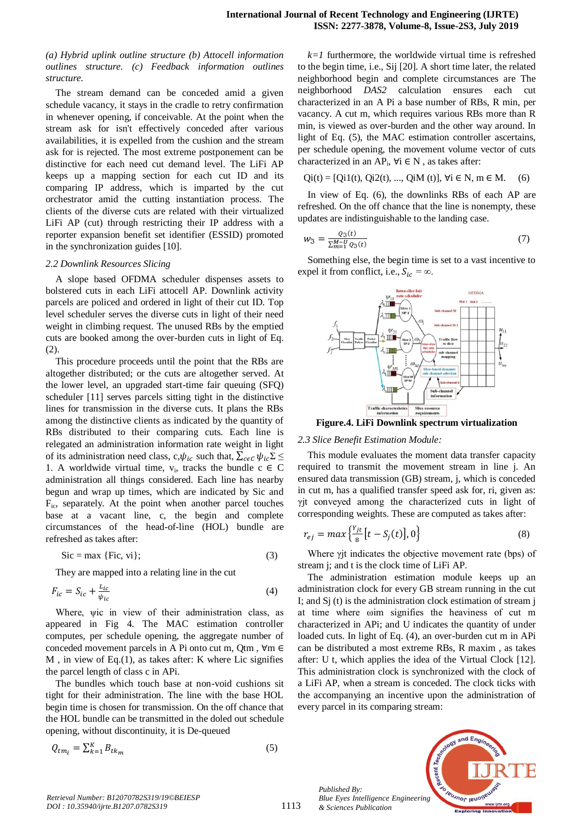*(a) Hybrid uplink outline structure (b) Attocell information outlines structure. (c) Feedback information outlines structure.*

The stream demand can be conceded amid a given schedule vacancy, it stays in the cradle to retry confirmation in whenever opening, if conceivable. At the point when the stream ask for isn't effectively conceded after various availabilities, it is expelled from the cushion and the stream ask for is rejected. The most extreme postponement can be distinctive for each need cut demand level. The LiFi AP keeps up a mapping section for each cut ID and its comparing IP address, which is imparted by the cut orchestrator amid the cutting instantiation process. The clients of the diverse cuts are related with their virtualized LiFi AP (cut) through restricting their IP address with a reporter expansion benefit set identifier (ESSID) promoted in the synchronization guides [10].

#### *2.2 Downlink Resources Slicing*

A slope based OFDMA scheduler dispenses assets to bolstered cuts in each LiFi attocell AP. Downlink activity parcels are policed and ordered in light of their cut ID. Top level scheduler serves the diverse cuts in light of their need weight in climbing request. The unused RBs by the emptied cuts are booked among the over-burden cuts in light of Eq. (2).

This procedure proceeds until the point that the RBs are altogether distributed; or the cuts are altogether served. At the lower level, an upgraded start-time fair queuing (SFQ) scheduler [11] serves parcels sitting tight in the distinctive lines for transmission in the diverse cuts. It plans the RBs among the distinctive clients as indicated by the quantity of RBs distributed to their comparing cuts. Each line is relegated an administration information rate weight in light of its administration need class, c,  $\psi_{ic}$  such that,  $\sum_{c \in C} \psi_{ic} \Sigma$ 1. A worldwide virtual time,  $v_i$ , tracks the bundle  $c \in C$ administration all things considered. Each line has nearby begun and wrap up times, which are indicated by Sic and Fic, separately. At the point when another parcel touches base at a vacant line, c, the begin and complete circumstances of the head-of-line (HOL) bundle are refreshed as takes after:

$$
Sic = \max \{ \text{Fic}, \, \text{vi} \};\tag{3}
$$

They are mapped into a relating line in the cut

$$
F_{ic} = S_{ic} + \frac{L_{ic}}{\psi_{ic}}\tag{4}
$$

Where, ψic in view of their administration class, as appeared in Fig 4. The MAC estimation controller computes, per schedule opening, the aggregate number of conceded movement parcels in A Pi onto cut m, Qtm,  $\forall m \in$ M , in view of Eq.(1), as takes after: K where Lic signifies the parcel length of class c in APi.

The bundles which touch base at non-void cushions sit tight for their administration. The line with the base HOL begin time is chosen for transmission. On the off chance that the HOL bundle can be transmitted in the doled out schedule opening, without discontinuity, it is De-queued

$$
Q_{tm_i} = \sum_{k=1}^{K} B_{tk_m} \tag{5}
$$

 $k=1$  furthermore, the worldwide virtual time is refreshed to the begin time, i.e., Sij [20]. A short time later, the related neighborhood begin and complete circumstances are The neighborhood *DAS2* calculation ensures each cut characterized in an A Pi a base number of RBs, R min, per vacancy. A cut m, which requires various RBs more than R min, is viewed as over-burden and the other way around. In light of Eq. (5), the MAC estimation controller ascertains, per schedule opening, the movement volume vector of cuts characterized in an AP<sub>i</sub>,  $\forall i \in N$ , as takes after:

$$
Qi(t) = [Qi1(t), Qi2(t), ..., QiM(t)], \forall i \in N, m \in M.
$$
 (6)

In view of Eq. (6), the downlinks RBs of each AP are refreshed. On the off chance that the line is nonempty, these updates are indistinguishable to the landing case.

$$
w_{\mathfrak{I}} = \frac{Q_{\mathfrak{I}}(t)}{\sum_{m=1}^{M-U} Q_{\mathfrak{I}}(t)}\tag{7}
$$

Something else, the begin time is set to a vast incentive to expel it from conflict, i.e.,  $S_{ic} = \infty$ .



**Figure.4. LiFi Downlink spectrum virtualization**

#### *2.3 Slice Benefit Estimation Module:*

This module evaluates the moment data transfer capacity required to transmit the movement stream in line j. An ensured data transmission (GB) stream, j, which is conceded in cut m, has a qualified transfer speed ask for, ri, given as: γjt conveyed among the characterized cuts in light of corresponding weights. These are computed as takes after:

$$
r_{ej} = max\left\{\frac{Y_{jt}}{8} [t - S_j(t)], 0\right\}
$$
 (8)

Where γjt indicates the objective movement rate (bps) of stream j; and t is the clock time of LiFi AP.

The administration estimation module keeps up an administration clock for every GB stream running in the cut I; and Sj (t) is the administration clock estimation of stream j at time where ωim signifies the heaviness of cut m characterized in APi; and U indicates the quantity of under loaded cuts. In light of Eq. (4), an over-burden cut m in APi can be distributed a most extreme RBs, R maxim , as takes after: U t, which applies the idea of the Virtual Clock [12]. This administration clock is synchronized with the clock of a LiFi AP, when a stream is conceded. The clock ticks with the accompanying an incentive upon the administration of every parcel in its comparing stream:

*Published By: Blue Eyes Intelligence Engineering & Sciences Publication* 

1113

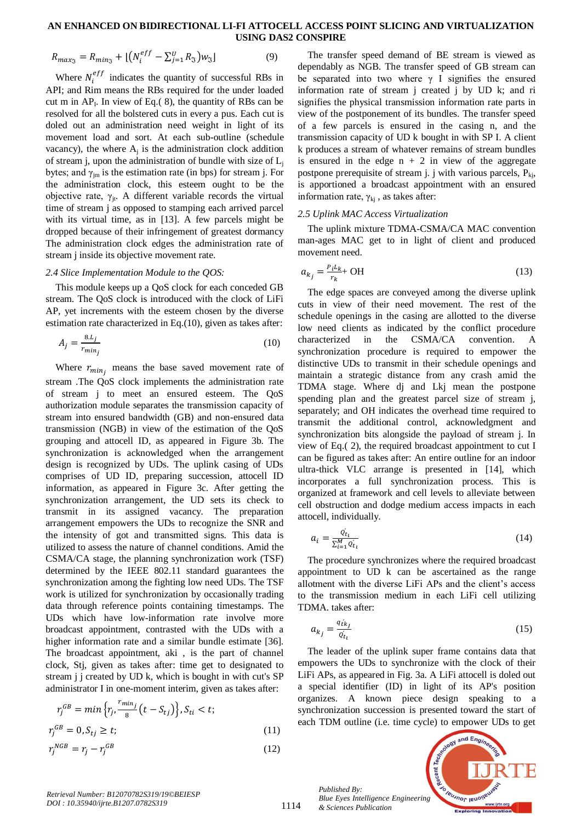$$
R_{max_{3}} = R_{min_{3}} + \left[ \left( N_{i}^{eff} - \sum_{j=1}^{U} R_{3} \right) w_{3} \right] \tag{9}
$$

Where  $N_i^{eff}$  indicates the quantity of successful RBs in API; and Rim means the RBs required for the under loaded cut m in  $AP<sub>I</sub>$ . In view of Eq.(8), the quantity of RBs can be resolved for all the bolstered cuts in every a pus. Each cut is doled out an administration need weight in light of its movement load and sort. At each sub-outline (schedule vacancy), the where  $A_j$  is the administration clock addition of stream j, upon the administration of bundle with size of  $L_i$ bytes; and  $\gamma_{im}$  is the estimation rate (in bps) for stream j. For the administration clock, this esteem ought to be the objective rate,  $\gamma_{it}$ . A different variable records the virtual time of stream j as opposed to stamping each arrived parcel with its virtual time, as in [13]. A few parcels might be dropped because of their infringement of greatest dormancy The administration clock edges the administration rate of stream j inside its objective movement rate.

#### *2.4 Slice Implementation Module to the QOS:*

This module keeps up a QoS clock for each conceded GB stream. The QoS clock is introduced with the clock of LiFi AP, yet increments with the esteem chosen by the diverse estimation rate characterized in Eq.(10), given as takes after:

$$
A_j = \frac{8 \cdot L_j}{r_{\min_j}}\tag{10}
$$

Where  $r_{min_i}$  means the base saved movement rate of stream .The QoS clock implements the administration rate of stream j to meet an ensured esteem. The QoS authorization module separates the transmission capacity of stream into ensured bandwidth (GB) and non-ensured data transmission (NGB) in view of the estimation of the QoS grouping and attocell ID, as appeared in Figure 3b. The synchronization is acknowledged when the arrangement design is recognized by UDs. The uplink casing of UDs comprises of UD ID, preparing succession, attocell ID information, as appeared in Figure 3c. After getting the synchronization arrangement, the UD sets its check to transmit in its assigned vacancy. The preparation arrangement empowers the UDs to recognize the SNR and the intensity of got and transmitted signs. This data is utilized to assess the nature of channel conditions. Amid the CSMA/CA stage, the planning synchronization work (TSF) determined by the IEEE 802.11 standard guarantees the synchronization among the fighting low need UDs. The TSF work is utilized for synchronization by occasionally trading data through reference points containing timestamps. The UDs which have low-information rate involve more broadcast appointment, contrasted with the UDs with a higher information rate and a similar bundle estimate [36]. The broadcast appointment, aki , is the part of channel clock, Stj, given as takes after: time get to designated to stream j j created by UD k, which is bought in with cut's SP administrator I in one-moment interim, given as takes after:

$$
r_j^{GB} = \min\left\{r_j, \frac{r_{\min_j}}{8}(t - S_{tj})\right\}, S_{ti} < t;
$$
\n
$$
r_j^{GB} = 0, S_{tj} \ge t;
$$
\n
$$
(11)
$$

$$
r_j^{NGB} = r_j - r_j^{GB} \tag{12}
$$

The transfer speed demand of BE stream is viewed as dependably as NGB. The transfer speed of GB stream can be separated into two where  $\gamma$  I signifies the ensured information rate of stream j created j by UD k; and ri signifies the physical transmission information rate parts in view of the postponement of its bundles. The transfer speed of a few parcels is ensured in the casing n, and the transmission capacity of UD k bought in with SP I. A client k produces a stream of whatever remains of stream bundles is ensured in the edge  $n + 2$  in view of the aggregate postpone prerequisite of stream j. j with various parcels,  $P_{ki}$ , is apportioned a broadcast appointment with an ensured information rate,  $\gamma_{ki}$ , as takes after:

#### *2.5 Uplink MAC Access Virtualization*

The uplink mixture TDMA-CSMA/CA MAC convention man-ages MAC get to in light of client and produced movement need.

$$
a_{kj} = \frac{P_i L_k}{r_k} + \text{OH}
$$
 (13)

The edge spaces are conveyed among the diverse uplink cuts in view of their need movement. The rest of the schedule openings in the casing are allotted to the diverse low need clients as indicated by the conflict procedure characterized in the CSMA/CA convention. A synchronization procedure is required to empower the distinctive UDs to transmit in their schedule openings and maintain a strategic distance from any crash amid the TDMA stage. Where dj and Lkj mean the postpone spending plan and the greatest parcel size of stream j, separately; and OH indicates the overhead time required to transmit the additional control, acknowledgment and synchronization bits alongside the payload of stream j. In view of Eq.( 2), the required broadcast appointment to cut I can be figured as takes after: An entire outline for an indoor ultra-thick VLC arrange is presented in [14], which incorporates a full synchronization process. This is organized at framework and cell levels to alleviate between cell obstruction and dodge medium access impacts in each attocell, individually.

$$
a_i = \frac{\dot{Q_t}}{\sum_{i=1}^{M} Q_{t_i}}\tag{14}
$$

The procedure synchronizes where the required broadcast appointment to UD k can be ascertained as the range allotment with the diverse LiFi APs and the client's access to the transmission medium in each LiFi cell utilizing TDMA. takes after:

$$
a_{kj} = \frac{q_{tkj}}{q_{t_l}'}\tag{15}
$$

The leader of the uplink super frame contains data that empowers the UDs to synchronize with the clock of their LiFi APs, as appeared in Fig. 3a. A LiFi attocell is doled out a special identifier (ID) in light of its AP's position organizes. A known piece design speaking to a synchronization succession is presented toward the start of each TDM outline (i.e. time cycle) to empower UDs to get

*Published By: Blue Eyes Intelligence Engineering & Sciences Publication* 



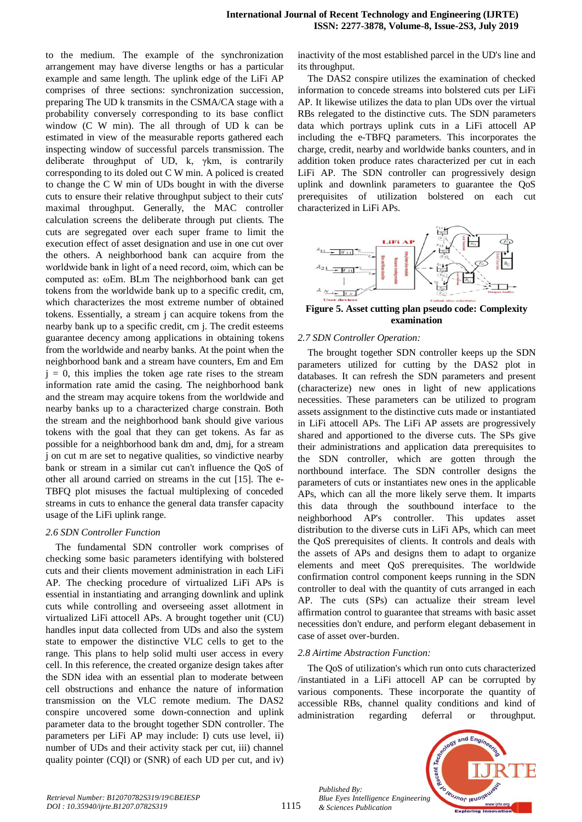to the medium. The example of the synchronization arrangement may have diverse lengths or has a particular example and same length. The uplink edge of the LiFi AP comprises of three sections: synchronization succession, preparing The UD k transmits in the CSMA/CA stage with a probability conversely corresponding to its base conflict window (C W min). The all through of UD k can be estimated in view of the measurable reports gathered each inspecting window of successful parcels transmission. The deliberate throughput of UD, k, γkm, is contrarily corresponding to its doled out C W min. A policed is created to change the C W min of UDs bought in with the diverse cuts to ensure their relative throughput subject to their cuts' maximal throughput. Generally, the MAC controller calculation screens the deliberate through put clients. The cuts are segregated over each super frame to limit the execution effect of asset designation and use in one cut over the others. A neighborhood bank can acquire from the worldwide bank in light of a need record, ωim, which can be computed as: ωEm. BLm The neighborhood bank can get tokens from the worldwide bank up to a specific credit, cm, which characterizes the most extreme number of obtained tokens. Essentially, a stream j can acquire tokens from the nearby bank up to a specific credit, cm j. The credit esteems guarantee decency among applications in obtaining tokens from the worldwide and nearby banks. At the point when the neighborhood bank and a stream have counters, Em and Em  $j = 0$ , this implies the token age rate rises to the stream information rate amid the casing. The neighborhood bank and the stream may acquire tokens from the worldwide and nearby banks up to a characterized charge constrain. Both the stream and the neighborhood bank should give various tokens with the goal that they can get tokens. As far as possible for a neighborhood bank dm and, dmj, for a stream j on cut m are set to negative qualities, so vindictive nearby bank or stream in a similar cut can't influence the QoS of other all around carried on streams in the cut [15]. The e-TBFQ plot misuses the factual multiplexing of conceded streams in cuts to enhance the general data transfer capacity usage of the LiFi uplink range.

#### *2.6 SDN Controller Function*

The fundamental SDN controller work comprises of checking some basic parameters identifying with bolstered cuts and their clients movement administration in each LiFi AP. The checking procedure of virtualized LiFi APs is essential in instantiating and arranging downlink and uplink cuts while controlling and overseeing asset allotment in virtualized LiFi attocell APs. A brought together unit (CU) handles input data collected from UDs and also the system state to empower the distinctive VLC cells to get to the range. This plans to help solid multi user access in every cell. In this reference, the created organize design takes after the SDN idea with an essential plan to moderate between cell obstructions and enhance the nature of information transmission on the VLC remote medium. The DAS2 conspire uncovered some down-connection and uplink parameter data to the brought together SDN controller. The parameters per LiFi AP may include: I) cuts use level, ii) number of UDs and their activity stack per cut, iii) channel quality pointer (CQI) or (SNR) of each UD per cut, and iv)

inactivity of the most established parcel in the UD's line and its throughput.

The DAS2 conspire utilizes the examination of checked information to concede streams into bolstered cuts per LiFi AP. It likewise utilizes the data to plan UDs over the virtual RBs relegated to the distinctive cuts. The SDN parameters data which portrays uplink cuts in a LiFi attocell AP including the e-TBFQ parameters. This incorporates the charge, credit, nearby and worldwide banks counters, and in addition token produce rates characterized per cut in each LiFi AP. The SDN controller can progressively design uplink and downlink parameters to guarantee the QoS prerequisites of utilization bolstered on each cut characterized in LiFi APs.



**Figure 5. Asset cutting plan pseudo code: Complexity examination**

# *2.7 SDN Controller Operation:*

The brought together SDN controller keeps up the SDN parameters utilized for cutting by the DAS2 plot in databases. It can refresh the SDN parameters and present (characterize) new ones in light of new applications necessities. These parameters can be utilized to program assets assignment to the distinctive cuts made or instantiated in LiFi attocell APs. The LiFi AP assets are progressively shared and apportioned to the diverse cuts. The SPs give their administrations and application data prerequisites to the SDN controller, which are gotten through the northbound interface. The SDN controller designs the parameters of cuts or instantiates new ones in the applicable APs, which can all the more likely serve them. It imparts this data through the southbound interface to the neighborhood AP's controller. This updates asset distribution to the diverse cuts in LiFi APs, which can meet the QoS prerequisites of clients. It controls and deals with the assets of APs and designs them to adapt to organize elements and meet QoS prerequisites. The worldwide confirmation control component keeps running in the SDN controller to deal with the quantity of cuts arranged in each AP. The cuts (SPs) can actualize their stream level affirmation control to guarantee that streams with basic asset necessities don't endure, and perform elegant debasement in case of asset over-burden.

# *2.8 Airtime Abstraction Function:*

*Published By:*

*& Sciences Publication* 

The QoS of utilization's which run onto cuts characterized /instantiated in a LiFi attocell AP can be corrupted by various components. These incorporate the quantity of accessible RBs, channel quality conditions and kind of administration regarding deferral or throughput.

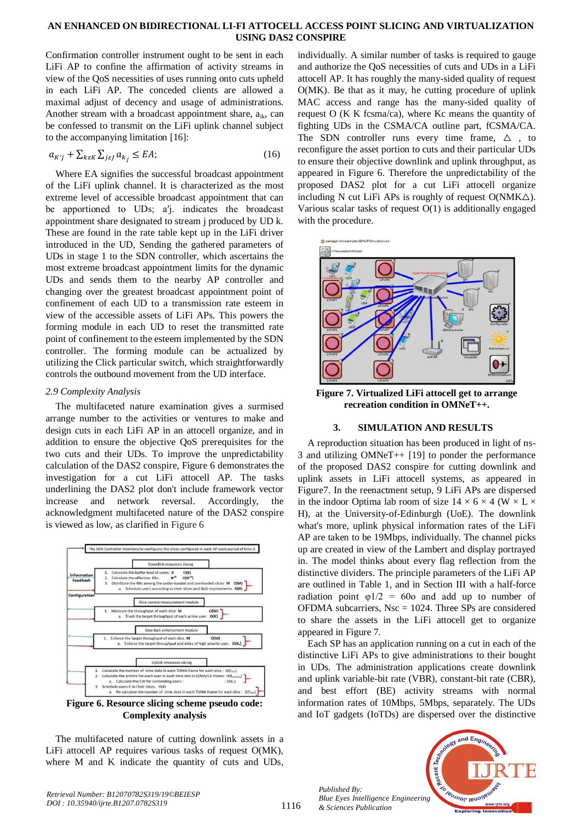Confirmation controller instrument ought to be sent in each LiFi AP to confine the affirmation of activity streams in view of the QoS necessities of uses running onto cuts upheld in each LiFi AP. The conceded clients are allowed a maximal adjust of decency and usage of administrations. Another stream with a broadcast appointment share,  $a_{ik}$ , can be confessed to transmit on the LiFi uplink channel subject to the accompanying limitation [16]:

$$
a_{K'j} + \sum_{k \in K} \sum_{j \in J} a_{k_j} \le EA,\tag{16}
$$

Where EA signifies the successful broadcast appointment of the LiFi uplink channel. It is characterized as the most extreme level of accessible broadcast appointment that can be apportioned to UDs; a′j. indicates the broadcast appointment share designated to stream j produced by UD k. These are found in the rate table kept up in the LiFi driver introduced in the UD, Sending the gathered parameters of UDs in stage 1 to the SDN controller, which ascertains the most extreme broadcast appointment limits for the dynamic UDs and sends them to the nearby AP controller and changing over the greatest broadcast appointment point of confinement of each UD to a transmission rate esteem in view of the accessible assets of LiFi APs. This powers the forming module in each UD to reset the transmitted rate point of confinement to the esteem implemented by the SDN controller. The forming module can be actualized by utilizing the Click particular switch, which straightforwardly controls the outbound movement from the UD interface.

# *2.9 Complexity Analysis*

The multifaceted nature examination gives a surmised arrange number to the activities or ventures to make and design cuts in each LiFi AP in an attocell organize, and in addition to ensure the objective QoS prerequisites for the two cuts and their UDs. To improve the unpredictability calculation of the DAS2 conspire, Figure 6 demonstrates the investigation for a cut LiFi attocell AP. The tasks underlining the DAS2 plot don't include framework vector increase and network reversal. Accordingly, the acknowledgment multifaceted nature of the DAS2 conspire is viewed as low, as clarified in Figure 6



**Complexity analysis**

The multifaceted nature of cutting downlink assets in a LiFi attocell AP requires various tasks of request O(MK), where M and K indicate the quantity of cuts and UDs,

individually. A similar number of tasks is required to gauge and authorize the QoS necessities of cuts and UDs in a LiFi attocell AP. It has roughly the many-sided quality of request O(MK). Be that as it may, he cutting procedure of uplink MAC access and range has the many-sided quality of request  $O(K K fcsma/ca)$ , where Kc means the quantity of fighting UDs in the CSMA/CA outline part, fCSMA/CA. The SDN controller runs every time frame,  $\Delta$ , to reconfigure the asset portion to cuts and their particular UDs to ensure their objective downlink and uplink throughput, as appeared in Figure 6. Therefore the unpredictability of the proposed DAS2 plot for a cut LiFi attocell organize including N cut LiFi APs is roughly of request  $O(NMK\Delta)$ . Various scalar tasks of request O(1) is additionally engaged with the procedure.



**Figure 7. Virtualized LiFi attocell get to arrange recreation condition in OMNeT++.**

# **3. SIMULATION AND RESULTS**

A reproduction situation has been produced in light of ns-3 and utilizing OMNeT++ [19] to ponder the performance of the proposed DAS2 conspire for cutting downlink and uplink assets in LiFi attocell systems, as appeared in Figure7. In the reenactment setup, 9 LiFi APs are dispersed in the indoor Optima lab room of size  $14 \times 6 \times 4$  (W  $\times$  L  $\times$ H), at the University-of-Edinburgh (UoE). The downlink what's more, uplink physical information rates of the LiFi AP are taken to be 19Mbps, individually. The channel picks up are created in view of the Lambert and display portrayed in. The model thinks about every flag reflection from the distinctive dividers. The principle parameters of the LiFi AP are outlined in Table 1, and in Section III with a half-force radiation point  $\varphi$ 1/2 = 60o and add up to number of OFDMA subcarriers,  $N<sub>SC</sub> = 1024$ . Three SPs are considered to share the assets in the LiFi attocell get to organize appeared in Figure 7.

Each SP has an application running on a cut in each of the distinctive LiFi APs to give administrations to their bought in UDs. The administration applications create downlink and uplink variable-bit rate (VBR), constant-bit rate (CBR), and best effort (BE) activity streams with normal information rates of 10Mbps, 5Mbps, separately. The UDs and IoT gadgets (IoTDs) are dispersed over the distinctive



*Retrieval Number: B12070782S319/19©BEIESP DOI : 10.35940/ijrte.B1207.0782S319*

*Published By:*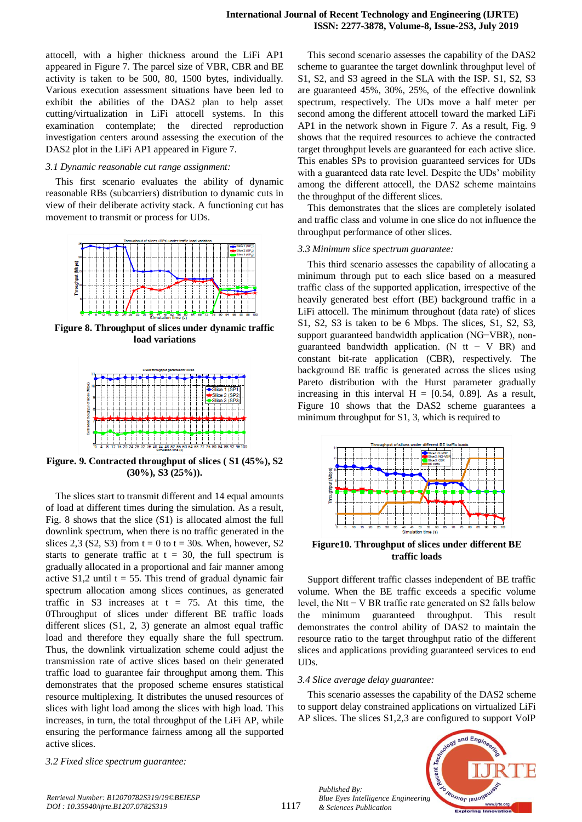attocell, with a higher thickness around the LiFi AP1 appeared in Figure 7. The parcel size of VBR, CBR and BE activity is taken to be 500, 80, 1500 bytes, individually. Various execution assessment situations have been led to exhibit the abilities of the DAS2 plan to help asset cutting/virtualization in LiFi attocell systems. In this examination contemplate; the directed reproduction investigation centers around assessing the execution of the DAS2 plot in the LiFi AP1 appeared in Figure 7.

#### *3.1 Dynamic reasonable cut range assignment:*

This first scenario evaluates the ability of dynamic reasonable RBs (subcarriers) distribution to dynamic cuts in view of their deliberate activity stack. A functioning cut has movement to transmit or process for UDs.



**Figure 8. Throughput of slices under dynamic traffic load variations**



**Figure. 9. Contracted throughput of slices ( S1 (45%), S2 (30%), S3 (25%)).**

The slices start to transmit different and 14 equal amounts of load at different times during the simulation. As a result, Fig. 8 shows that the slice (S1) is allocated almost the full downlink spectrum, when there is no traffic generated in the slices 2,3 (S2, S3) from  $t = 0$  to  $t = 30s$ . When, however, S2 starts to generate traffic at  $t = 30$ , the full spectrum is gradually allocated in a proportional and fair manner among active  $S1,2$  until t = 55. This trend of gradual dynamic fair spectrum allocation among slices continues, as generated traffic in S3 increases at  $t = 75$ . At this time, the 0Throughput of slices under different BE traffic loads different slices (S1, 2, 3) generate an almost equal traffic load and therefore they equally share the full spectrum. Thus, the downlink virtualization scheme could adjust the transmission rate of active slices based on their generated traffic load to guarantee fair throughput among them. This demonstrates that the proposed scheme ensures statistical resource multiplexing. It distributes the unused resources of slices with light load among the slices with high load. This increases, in turn, the total throughput of the LiFi AP, while ensuring the performance fairness among all the supported active slices.

*3.2 Fixed slice spectrum guarantee:*

This second scenario assesses the capability of the DAS2 scheme to guarantee the target downlink throughput level of S1, S2, and S3 agreed in the SLA with the ISP. S1, S2, S3 are guaranteed 45%, 30%, 25%, of the effective downlink spectrum, respectively. The UDs move a half meter per second among the different attocell toward the marked LiFi AP1 in the network shown in Figure 7. As a result, Fig. 9 shows that the required resources to achieve the contracted target throughput levels are guaranteed for each active slice. This enables SPs to provision guaranteed services for UDs with a guaranteed data rate level. Despite the UDs' mobility among the different attocell, the DAS2 scheme maintains the throughput of the different slices.

This demonstrates that the slices are completely isolated and traffic class and volume in one slice do not influence the throughput performance of other slices.

#### *3.3 Minimum slice spectrum guarantee:*

This third scenario assesses the capability of allocating a minimum through put to each slice based on a measured traffic class of the supported application, irrespective of the heavily generated best effort (BE) background traffic in a LiFi attocell. The minimum throughout (data rate) of slices S1, S2, S3 is taken to be 6 Mbps. The slices, S1, S2, S3, support guaranteed bandwidth application (NG−VBR), nonguaranteed bandwidth application. (N tt  $-$  V BR) and constant bit-rate application (CBR), respectively. The background BE traffic is generated across the slices using Pareto distribution with the Hurst parameter gradually increasing in this interval  $H = [0.54, 0.89]$ . As a result, Figure 10 shows that the DAS2 scheme guarantees a minimum throughput for S1, 3, which is required to



**Figure10. Throughput of slices under different BE traffic loads**

Support different traffic classes independent of BE traffic volume. When the BE traffic exceeds a specific volume level, the Ntt − V BR traffic rate generated on S2 falls below the minimum guaranteed throughput. This result demonstrates the control ability of DAS2 to maintain the resource ratio to the target throughput ratio of the different slices and applications providing guaranteed services to end UDs.

#### *3.4 Slice average delay guarantee:*

*Published By:*

*& Sciences Publication* 

This scenario assesses the capability of the DAS2 scheme to support delay constrained applications on virtualized LiFi AP slices. The slices S1,2,3 are configured to support VoIP

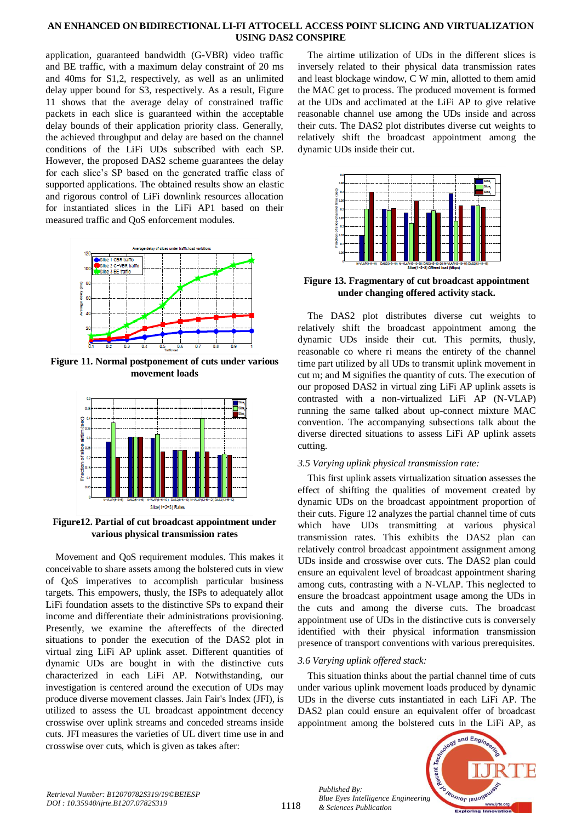application, guaranteed bandwidth (G-VBR) video traffic and BE traffic, with a maximum delay constraint of 20 ms and 40ms for S1,2, respectively, as well as an unlimited delay upper bound for S3, respectively. As a result, Figure 11 shows that the average delay of constrained traffic packets in each slice is guaranteed within the acceptable delay bounds of their application priority class. Generally, the achieved throughput and delay are based on the channel conditions of the LiFi UDs subscribed with each SP. However, the proposed DAS2 scheme guarantees the delay for each slice's SP based on the generated traffic class of supported applications. The obtained results show an elastic and rigorous control of LiFi downlink resources allocation for instantiated slices in the LiFi AP1 based on their measured traffic and QoS enforcement modules.



**Figure 11. Normal postponement of cuts under various movement loads**



**Figure12. Partial of cut broadcast appointment under various physical transmission rates**

Movement and QoS requirement modules. This makes it conceivable to share assets among the bolstered cuts in view of QoS imperatives to accomplish particular business targets. This empowers, thusly, the ISPs to adequately allot LiFi foundation assets to the distinctive SPs to expand their income and differentiate their administrations provisioning. Presently, we examine the aftereffects of the directed situations to ponder the execution of the DAS2 plot in virtual zing LiFi AP uplink asset. Different quantities of dynamic UDs are bought in with the distinctive cuts characterized in each LiFi AP. Notwithstanding, our investigation is centered around the execution of UDs may produce diverse movement classes. Jain Fair's Index (JFI), is utilized to assess the UL broadcast appointment decency crosswise over uplink streams and conceded streams inside cuts. JFI measures the varieties of UL divert time use in and crosswise over cuts, which is given as takes after:

The airtime utilization of UDs in the different slices is inversely related to their physical data transmission rates and least blockage window, C W min, allotted to them amid the MAC get to process. The produced movement is formed at the UDs and acclimated at the LiFi AP to give relative reasonable channel use among the UDs inside and across their cuts. The DAS2 plot distributes diverse cut weights to relatively shift the broadcast appointment among the dynamic UDs inside their cut.



**Figure 13. Fragmentary of cut broadcast appointment under changing offered activity stack.**

The DAS2 plot distributes diverse cut weights to relatively shift the broadcast appointment among the dynamic UDs inside their cut. This permits, thusly, reasonable co where ri means the entirety of the channel time part utilized by all UDs to transmit uplink movement in cut m; and M signifies the quantity of cuts. The execution of our proposed DAS2 in virtual zing LiFi AP uplink assets is contrasted with a non-virtualized LiFi AP (N-VLAP) running the same talked about up-connect mixture MAC convention. The accompanying subsections talk about the diverse directed situations to assess LiFi AP uplink assets cutting.

# *3.5 Varying uplink physical transmission rate:*

This first uplink assets virtualization situation assesses the effect of shifting the qualities of movement created by dynamic UDs on the broadcast appointment proportion of their cuts. Figure 12 analyzes the partial channel time of cuts which have UDs transmitting at various physical transmission rates. This exhibits the DAS2 plan can relatively control broadcast appointment assignment among UDs inside and crosswise over cuts. The DAS2 plan could ensure an equivalent level of broadcast appointment sharing among cuts, contrasting with a N-VLAP. This neglected to ensure the broadcast appointment usage among the UDs in the cuts and among the diverse cuts. The broadcast appointment use of UDs in the distinctive cuts is conversely identified with their physical information transmission presence of transport conventions with various prerequisites.

# *3.6 Varying uplink offered stack:*

*Published By:*

*& Sciences Publication* 

This situation thinks about the partial channel time of cuts under various uplink movement loads produced by dynamic UDs in the diverse cuts instantiated in each LiFi AP. The DAS2 plan could ensure an equivalent offer of broadcast appointment among the bolstered cuts in the LiFi AP, as



1118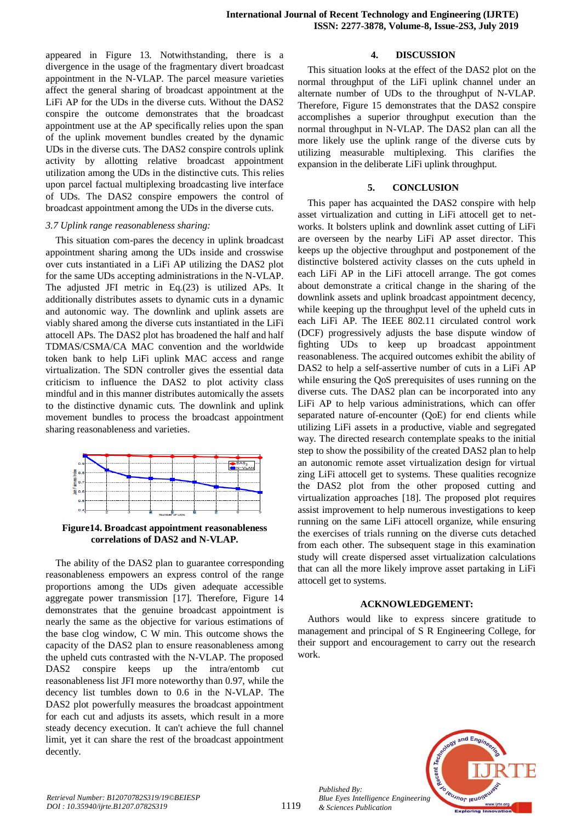appeared in Figure 13. Notwithstanding, there is a divergence in the usage of the fragmentary divert broadcast appointment in the N-VLAP. The parcel measure varieties affect the general sharing of broadcast appointment at the LiFi AP for the UDs in the diverse cuts. Without the DAS2 conspire the outcome demonstrates that the broadcast appointment use at the AP specifically relies upon the span of the uplink movement bundles created by the dynamic UDs in the diverse cuts. The DAS2 conspire controls uplink activity by allotting relative broadcast appointment utilization among the UDs in the distinctive cuts. This relies upon parcel factual multiplexing broadcasting live interface of UDs. The DAS2 conspire empowers the control of broadcast appointment among the UDs in the diverse cuts.

#### *3.7 Uplink range reasonableness sharing:*

This situation com-pares the decency in uplink broadcast appointment sharing among the UDs inside and crosswise over cuts instantiated in a LiFi AP utilizing the DAS2 plot for the same UDs accepting administrations in the N-VLAP. The adjusted JFI metric in Eq.(23) is utilized APs. It additionally distributes assets to dynamic cuts in a dynamic and autonomic way. The downlink and uplink assets are viably shared among the diverse cuts instantiated in the LiFi attocell APs. The DAS2 plot has broadened the half and half TDMAS/CSMA/CA MAC convention and the worldwide token bank to help LiFi uplink MAC access and range virtualization. The SDN controller gives the essential data criticism to influence the DAS2 to plot activity class mindful and in this manner distributes automically the assets to the distinctive dynamic cuts. The downlink and uplink movement bundles to process the broadcast appointment sharing reasonableness and varieties.



**Figure14. Broadcast appointment reasonableness correlations of DAS2 and N-VLAP.**

The ability of the DAS2 plan to guarantee corresponding reasonableness empowers an express control of the range proportions among the UDs given adequate accessible aggregate power transmission [17]. Therefore, Figure 14 demonstrates that the genuine broadcast appointment is nearly the same as the objective for various estimations of the base clog window, C W min. This outcome shows the capacity of the DAS2 plan to ensure reasonableness among the upheld cuts contrasted with the N-VLAP. The proposed DAS2 conspire keeps up the intra/entomb cut reasonableness list JFI more noteworthy than 0.97, while the decency list tumbles down to 0.6 in the N-VLAP. The DAS2 plot powerfully measures the broadcast appointment for each cut and adjusts its assets, which result in a more steady decency execution. It can't achieve the full channel limit, yet it can share the rest of the broadcast appointment decently.

# **4. DISCUSSION**

This situation looks at the effect of the DAS2 plot on the normal throughput of the LiFi uplink channel under an alternate number of UDs to the throughput of N-VLAP. Therefore, Figure 15 demonstrates that the DAS2 conspire accomplishes a superior throughput execution than the normal throughput in N-VLAP. The DAS2 plan can all the more likely use the uplink range of the diverse cuts by utilizing measurable multiplexing. This clarifies the expansion in the deliberate LiFi uplink throughput.

# **5. CONCLUSION**

This paper has acquainted the DAS2 conspire with help asset virtualization and cutting in LiFi attocell get to networks. It bolsters uplink and downlink asset cutting of LiFi are overseen by the nearby LiFi AP asset director. This keeps up the objective throughput and postponement of the distinctive bolstered activity classes on the cuts upheld in each LiFi AP in the LiFi attocell arrange. The got comes about demonstrate a critical change in the sharing of the downlink assets and uplink broadcast appointment decency, while keeping up the throughput level of the upheld cuts in each LiFi AP. The IEEE 802.11 circulated control work (DCF) progressively adjusts the base dispute window of fighting UDs to keep up broadcast appointment reasonableness. The acquired outcomes exhibit the ability of DAS2 to help a self-assertive number of cuts in a LiFi AP while ensuring the QoS prerequisites of uses running on the diverse cuts. The DAS2 plan can be incorporated into any LiFi AP to help various administrations, which can offer separated nature of-encounter (QoE) for end clients while utilizing LiFi assets in a productive, viable and segregated way. The directed research contemplate speaks to the initial step to show the possibility of the created DAS2 plan to help an autonomic remote asset virtualization design for virtual zing LiFi attocell get to systems. These qualities recognize the DAS2 plot from the other proposed cutting and virtualization approaches [18]. The proposed plot requires assist improvement to help numerous investigations to keep running on the same LiFi attocell organize, while ensuring the exercises of trials running on the diverse cuts detached from each other. The subsequent stage in this examination study will create dispersed asset virtualization calculations that can all the more likely improve asset partaking in LiFi attocell get to systems.

# **ACKNOWLEDGEMENT:**

Authors would like to express sincere gratitude to management and principal of S R Engineering College, for their support and encouragement to carry out the research work.



*Published By:*